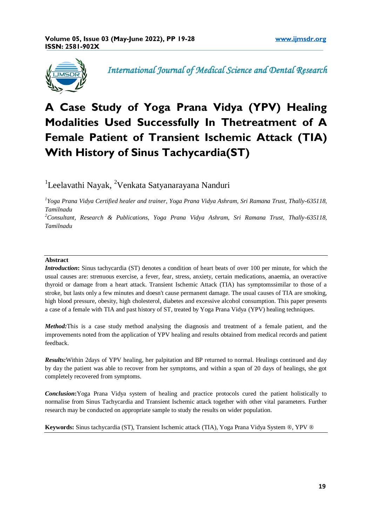

*International Journal of Medical Science and Dental Research* 

# **A Case Study of Yoga Prana Vidya (YPV) Healing Modalities Used Successfully In Thetreatment of A Female Patient of Transient Ischemic Attack (TIA) With History of Sinus Tachycardia(ST)**

<sup>1</sup>Leelavathi Nayak, <sup>2</sup>Venkata Satyanarayana Nanduri

*1 Yoga Prana Vidya Certified healer and trainer, Yoga Prana Vidya Ashram, Sri Ramana Trust, Thally-635118, Tamilnadu*

*<sup>2</sup>Consultant, Research & Publications, Yoga Prana Vidya Ashram, Sri Ramana Trust, Thally-635118, Tamilnadu*

# **Abstract**

*Introduction*: Sinus tachycardia (ST) denotes a condition of heart beats of over 100 per minute, for which the usual causes are: strenuous exercise, a fever, fear, stress, anxiety, certain medications, anaemia, an overactive thyroid or damage from a heart attack. Transient Ischemic Attack (TIA) has symptomssimilar to those of a stroke, but lasts only a few minutes and doesn't cause permanent damage. The usual causes of TIA are smoking, high blood pressure, obesity, high cholesterol, diabetes and excessive alcohol consumption. This paper presents a case of a female with TIA and past history of ST, treated by Yoga Prana Vidya (YPV) healing techniques.

*Method:*This is a case study method analysing the diagnosis and treatment of a female patient, and the improvements noted from the application of YPV healing and results obtained from medical records and patient feedback.

*Results:*Within 2days of YPV healing, her palpitation and BP returned to normal. Healings continued and day by day the patient was able to recover from her symptoms, and within a span of 20 days of healings, she got completely recovered from symptoms.

*Conclusion***:**Yoga Prana Vidya system of healing and practice protocols cured the patient holistically to normalise from Sinus Tachycardia and Transient Ischemic attack together with other vital parameters. Further research may be conducted on appropriate sample to study the results on wider population.

**Keywords:** Sinus tachycardia (ST), Transient Ischemic attack (TIA), Yoga Prana Vidya System ®, YPV ®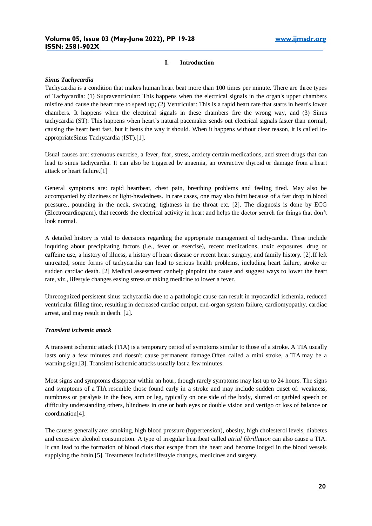#### **I. Introduction**

#### *Sinus Tachycardia*

Tachycardia is a condition that makes human heart beat more than 100 times per minute. There are three types of Tachycardia: (1) Supraventricular: This happens when the electrical signals in the organ's upper chambers misfire and cause the heart rate to speed up; (2) Ventricular: This is a rapid heart rate that starts in heart's lower chambers. It happens when the electrical signals in these chambers fire the wrong way, and (3) Sinus tachycardia (ST): This happens when heart's natural pacemaker sends out electrical signals faster than normal, causing the heart beat fast, but it beats the way it should. When it happens without clear reason, it is called InappropriateSinus Tachycardia (IST).[1].

Usual causes are: strenuous exercise, a fever, fear, stress, anxiety certain medications, and street drugs that can lead to sinus tachycardia. It can also be triggered by anaemia, an overactive thyroid or damage from a heart attack or heart failure.[1]

General symptoms are: rapid heartbeat, chest pain, breathing problems and feeling tired. May also be accompanied by dizziness or light-headedness. In rare cases, one may also faint because of a fast drop in blood pressure., pounding in the neck, sweating, tightness in the throat etc. [2]. The diagnosis is done by ECG (Electrocardiogram), that records the electrical activity in heart and helps the doctor search for things that don't look normal.

A detailed history is vital to decisions regarding the appropriate management of tachycardia. These include inquiring about precipitating factors (i.e., fever or exercise), recent medications, toxic exposures, drug or caffeine use, a history of illness, a history of heart disease or recent heart surgery, and family history. [2].If left untreated, some forms of tachycardia can lead to serious health problems, including heart failure, stroke or sudden cardiac death. [2] Medical assessment canhelp pinpoint the cause and suggest ways to lower the heart rate, viz., lifestyle changes easing stress or taking medicine to lower a fever.

Unrecognized persistent sinus tachycardia due to a pathologic cause can result in myocardial ischemia, reduced ventricular filling time, resulting in decreased cardiac output, end-organ system failure, cardiomyopathy, cardiac arrest, and may result in death. [2].

#### *Transient ischemic attack*

A transient ischemic attack (TIA) is a temporary period of symptoms similar to those of a stroke. A TIA usually lasts only a few minutes and doesn't cause permanent damage.Often called a mini stroke, a TIA may be a warning sign.[3]. Transient ischemic attacks usually last a few minutes.

Most signs and symptoms disappear within an hour, though rarely symptoms may last up to 24 hours. The signs and symptoms of a TIA resemble those found early in a stroke and may include sudden onset of: weakness, numbness or paralysis in the face, arm or leg, typically on one side of the body, slurred or garbled speech or difficulty understanding others, blindness in one or both eyes or double vision and vertigo or loss of balance or coordination[4].

The causes generally are: smoking, [high blood pressure \(hypertension\),](https://www.nhs.uk/conditions/high-blood-pressure-hypertension/) [obesity,](https://www.nhs.uk/conditions/obesity/) [high cholesterol levels,](https://www.nhs.uk/conditions/high-cholesterol/) [diabetes](https://www.nhs.uk/conditions/diabetes/) and excessive alcohol consumption. A type of irregular heartbeat called *atrial fibrillation* can also cause a TIA. It can lead to the formation of blood clots that escape from the heart and become lodged in the blood vessels supplying the brain.[5]. Treatments include:lifestyle changes, medicines and surgery.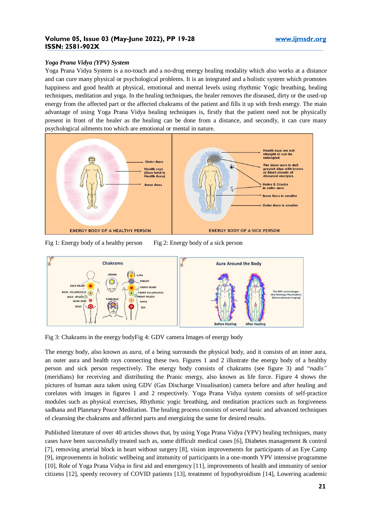# *Yoga Prana Vidya (YPV) System*

Yoga Prana Vidya System is a no-touch and a no-drug energy healing modality which also works at a distance and can cure many physical or psychological problems. It is an integrated and a holistic system which promotes happiness and good health at physical, emotional and mental levels using rhythmic Yogic breathing, healing techniques, meditation and yoga. In the healing techniques, the healer removes the diseased, dirty or the used-up energy from the affected part or the affected chakrams of the patient and fills it up with fresh energy. The main advantage of using Yoga Prana Vidya healing techniques is, firstly that the patient need not be physically present in front of the healer as the healing can be done from a distance, and secondly, it can cure many psychological ailments too which are emotional or mental in nature.



Fig 1: Energy body of a healthy person Fig 2: Energy body of a sick person



Fig 3: Chakrams in the energy bodyFig 4: GDV camera Images of energy body

The energy body, also known as *aura*, of a being surrounds the physical body, and it consists of an inner aura, an outer aura and health rays connecting these two. Figures 1 and 2 illustrate the energy body of a healthy person and sick person respectively. The energy body consists of chakrams (see figure 3) and "*nadis"* (meridians) for receiving and distributing the Pranic energy, also known as life force. Figure 4 shows the pictures of human aura taken using GDV (Gas Discharge Visualisation) camera before and after healing and corelates with images in figures 1 and 2 respectively. Yoga Prana Vidya system consists of self-practice modules such as physical exercises, Rhythmic yogic breathing, and meditation practices such as forgiveness sadhana and Planetary Peace Meditation. The healing process consists of several basic and advanced techniques of cleansing the chakrams and affected parts and energizing the same for desired results.

Published literature of over 40 articles shows that, by using Yoga Prana Vidya (YPV) healing techniques, many cases have been successfully treated such as, some difficult medical cases [6], Diabetes management & control [7], removing arterial block in heart without surgery [8], vision improvements for participants of an Eye Camp [9], improvements in holistic wellbeing and immunity of participants in a one-month YPV intensive programme [10], Role of Yoga Prana Vidya in first aid and emergency [11], improvements of health and immunity of senior citizens [12], speedy recovery of COVID patients [13], treatment of hypothyroidism [14], Lowering academic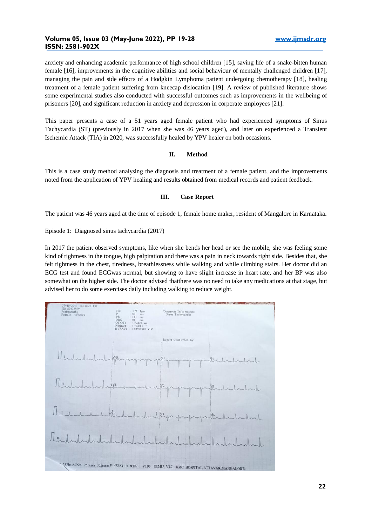anxiety and enhancing academic performance of high school children [15], saving life of a snake-bitten human female [16], improvements in the cognitive abilities and social behaviour of mentally challenged children [17], managing the pain and side effects of a Hodgkin Lymphoma patient undergoing chemotherapy [18], healing treatment of a female patient suffering from kneecap dislocation [19]. A review of published literature shows some experimental studies also conducted with successful outcomes such as improvements in the wellbeing of prisoners [20], and significant reduction in anxiety and depression in corporate employees [21].

This paper presents a case of a 51 years aged female patient who had experienced symptoms of Sinus Tachycardia (ST) (previously in 2017 when she was 46 years aged), and later on experienced a Transient Ischemic Attack (TIA) in 2020, was successfully healed by YPV healer on both occasions.

#### **II. Method**

This is a case study method analysing the diagnosis and treatment of a female patient, and the improvements noted from the application of YPV healing and results obtained from medical records and patient feedback.

# **III. Case Report**

The patient was 46 years aged at the time of episode 1, female home maker, resident of Mangalore in Karnataka**.**

Episode 1: Diagnosed sinus tachycardia (2017)

In 2017 the patient observed symptoms, like when she bends her head or see the mobile, she was feeling some kind of tightness in the tongue, high palpitation and there was a pain in neck towards right side. Besides that, she felt tightness in the chest, tiredness, breathlessness while walking and while climbing stairs. Her doctor did an ECG test and found ECGwas normal, but showing to have slight increase in heart rate, and her BP was also somewhat on the higher side. The doctor advised thatthere was no need to take any medications at that stage, but advised her to do some exercises daily including walking to reduce weight.

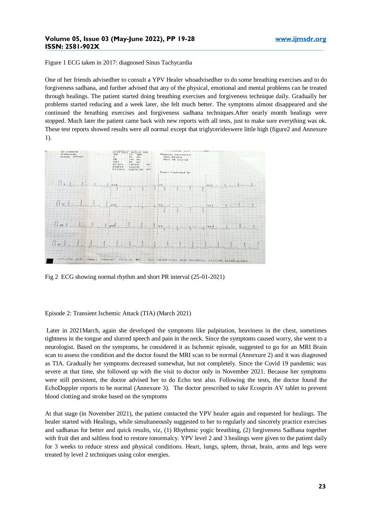Figure 1 ECG taken in 2017: diagnosed Sinus Tachycardia

One of her friends advisedher to consult a YPV Healer whoadvisedher to do some breathing exercises and to do forgiveness sadhana, and further advised that any of the physical, emotional and mental problems can be treated through healings. The patient started doing breathing exercises and forgiveness technique daily. Gradually her problems started reducing and a week later, she felt much better. The symptoms almost disappeared and she continued the breathing exercises and forgiveness sadhana techniques.After nearly month healings were stopped. Much later the patient came back with new reports with all tests, just to make sure everything was ok. These test reports showed results were all normal except that triglycerideswere little high (figure2 and Annexure 1).



Fig 2 ECG showing normal rhythm and short PR interval (25-01-2021)

Episode 2: Transient Ischemic Attack (TIA) (March 2021)

Later in 2021March, again she developed the symptoms like palpitation, heaviness in the chest, sometimes tightness in the tongue and slurred speech and pain in the neck. Since the symptoms caused worry, she went to a neurologist. Based on the symptoms, he considered it as Ischemic episode, suggested to go for an MRI Brain scan to assess the condition and the doctor found the MRI scan to be normal (Annexure 2) and it was diagnosed as TIA. Gradually her symptoms decreased somewhat, but not completely. Since the Covid 19 pandemic was severe at that time, she followed up with the visit to doctor only in November 2021. Because her symptoms were still persistent, the doctor advised her to do Echo test also. Following the tests, the doctor found the EchoDoppler reports to be normal (Annexure 3). The doctor prescribed to take Ecosprin AV tablet to prevent blood clotting and stroke based on the symptoms

At that stage (in November 2021), the patient contacted the YPV healer again and requested for healings. The healer started with Healings, while simultaneously suggested to her to regularly and sincerely practice exercises and sadhanas for better and quick results, viz, (1) Rhythmic yogic breathing, (2) forgiveness Sadhana together with fruit diet and saltless food to restore tonormalcy. YPV level 2 and 3 healings were given to the patient daily for 3 weeks to reduce stress and physical conditions. Heart, lungs, spleen, throat, brain, arms and legs were treated by level 2 techniques using color energies.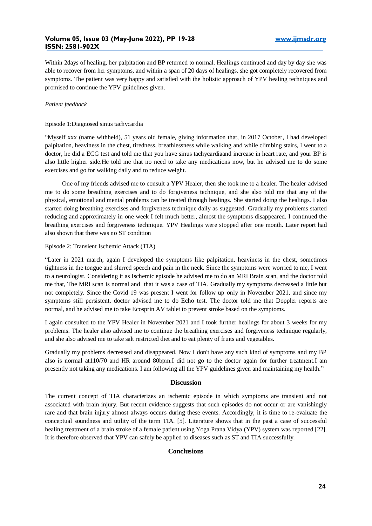Within 2days of healing, her palpitation and BP returned to normal. Healings continued and day by day she was able to recover from her symptoms, and within a span of 20 days of healings, she got completely recovered from symptoms. The patient was very happy and satisfied with the holistic approach of YPV healing techniques and promised to continue the YPV guidelines given.

# *Patient feedback*

### Episode 1:Diagnosed sinus tachycardia

"Myself xxx (name withheld), 51 years old female, giving information that, in 2017 October, I had developed palpitation, heaviness in the chest, tiredness, breathlessness while walking and while climbing stairs, I went to a doctor, he did a ECG test and told me that you have sinus tachycardiaand increase in heart rate, and your BP is also little higher side.He told me that no need to take any medications now, but he advised me to do some exercises and go for walking daily and to reduce weight.

 One of my friends advised me to consult a YPV Healer, then she took me to a healer. The healer advised me to do some breathing exercises and to do forgiveness technique, and she also told me that any of the physical, emotional and mental problems can be treated through healings. She started doing the healings. I also started doing breathing exercises and forgiveness technique daily as suggested. Gradually my problems started reducing and approximately in one week I felt much better, almost the symptoms disappeared. I continued the breathing exercises and forgiveness technique. YPV Healings were stopped after one month. Later report had also shown that there was no ST condition

#### Episode 2: Transient Ischemic Attack (TIA)

"Later in 2021 march, again I developed the symptoms like palpitation, heaviness in the chest, sometimes tightness in the tongue and slurred speech and pain in the neck. Since the symptoms were worried to me, I went to a neurologist. Considering it as Ischemic episode he advised me to do an MRI Brain scan, and the doctor told me that, The MRI scan is normal and that it was a case of TIA. Gradually my symptoms decreased a little but not completely. Since the Covid 19 was present I went for follow up only in November 2021, and since my symptoms still persistent, doctor advised me to do Echo test. The doctor told me that Doppler reports are normal, and he advised me to take Ecosprin AV tablet to prevent stroke based on the symptoms.

I again consulted to the YPV Healer in November 2021 and I took further healings for about 3 weeks for my problems. The healer also advised me to continue the breathing exercises and forgiveness technique regularly, and she also advised me to take salt restricted diet and to eat plenty of fruits and vegetables.

Gradually my problems decreased and disappeared. Now I don't have any such kind of symptoms and my BP also is normal at110/70 and HR around 80bpm.I did not go to the doctor again for further treatment.I am presently not taking any medications. I am following all the YPV guidelines given and maintaining my health."

# **Discussion**

The current concept of TIA characterizes an ischemic episode in which symptoms are transient and not associated with brain injury. But recent evidence suggests that such episodes do not occur or are vanishingly rare and that brain injury almost always occurs during these events. Accordingly, it is time to re-evaluate the conceptual soundness and utility of the term TIA. [5]. Literature shows that in the past a case of successful healing treatment of a brain stroke of a female patient using Yoga Prana Vidya (YPV) system was reported [22]. It is therefore observed that YPV can safely be applied to diseases such as ST and TIA successfully.

# **Conclusions**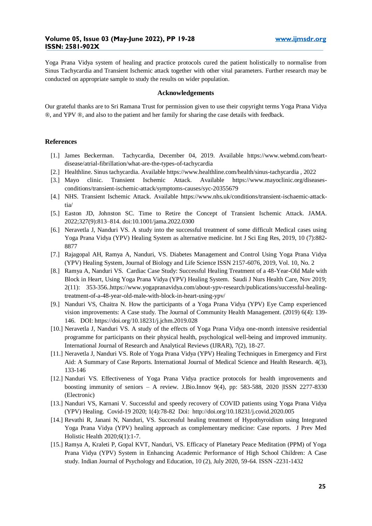Yoga Prana Vidya system of healing and practice protocols cured the patient holistically to normalise from Sinus Tachycardia and Transient Ischemic attack together with other vital parameters. Further research may be conducted on appropriate sample to study the results on wider population.

## **Acknowledgements**

Our grateful thanks are to Sri Ramana Trust for permission given to use their copyright terms Yoga Prana Vidya ®, and YPV ®, and also to the patient and her family for sharing the case details with feedback.

#### **References**

- [1.] James Beckerman. Tachycardia, December 04, 2019. Available https://www.webmd.com/heartdisease/atrial-fibrillation/what-are-the-types-of-tachycardia
- [2.] Healthline. Sinus tachycardia. Available https://www.healthline.com/health/sinus-tachycardia , 2022
- [3.] Mayo clinic. Transient Ischemic Attack. Available https://www.mayoclinic.org/diseasesconditions/transient-ischemic-attack/symptoms-causes/syc-20355679
- [4.] NHS. Transient Ischemic Attack. Available https://www.nhs.uk/conditions/transient-ischaemic-attacktia/
- [5.] Easton JD, Johnston SC. Time to Retire the Concept of Transient Ischemic Attack. JAMA. 2022;327(9):813–814. doi:10.1001/jama.2022.0300
- [6.] Neravetla J, Nanduri VS. A study into the successful treatment of some difficult Medical cases using Yoga Prana Vidya (YPV) Healing System as alternative medicine. Int J Sci Eng Res, 2019, 10 (7):882- 8877
- [7.] Rajagopal AH, Ramya A, Nanduri, VS. Diabetes Management and Control Using Yoga Prana Vidya (YPV) Healing System, Journal of Biology and Life Science ISSN 2157-6076, 2019, Vol. 10, No. 2
- [8.] Ramya A, Nanduri VS. Cardiac Case Study: Successful Healing Treatment of a 48-Year-Old Male with Block in Heart, Using Yoga Prana Vidya (YPV) Healing System. Saudi J Nurs Health Care, Nov 2019; 2(11): 353-356..https://www.yogapranavidya.com/about-ypv-research/publications/successful-healingtreatment-of-a-48-year-old-male-with-block-in-heart-using-ypv/
- [9.] Nanduri VS, Chaitra N. How the participants of a Yoga Prana Vidya (YPV) Eye Camp experienced vision improvements: A Case study. The Journal of Community Health Management. (2019) 6(4): 139- 146. DOI: https://doi.org/10.18231/j.jchm.2019.028
- [10.] Neravetla J, Nanduri VS. A study of the effects of Yoga Prana Vidya one-month intensive residential programme for participants on their physical health, psychological well-being and improved immunity. International Journal of Research and Analytical Reviews (IJRAR), 7(2), 18-27.
- [11.] Neravetla J, Nanduri VS. Role of Yoga Prana Vidya (YPV) Healing Techniques in Emergency and First Aid: A Summary of Case Reports. International Journal of Medical Science and Health Research. 4(3), 133-146
- [12.] Nanduri VS. Effectiveness of Yoga Prana Vidya practice protocols for health improvements and boosting immunity of seniors – A review. J.Bio.Innov 9(4), pp: 583-588, 2020  $\parallel$ ISSN 2277-8330 (Electronic)
- [13.] Nanduri VS, Karnani V. Successful and speedy recovery of COVID patients using Yoga Prana Vidya (YPV) Healing. Covid-19 2020; 1(4):78-82 Doi: http://doi.org/10.18231/j.covid.2020.005
- [14.] Revathi R, Janani N, Nanduri, VS. Successful healing treatment of Hypothyroidism using Integrated Yoga Prana Vidya (YPV) healing approach as complementary medicine: Case reports. J Prev Med Holistic Health 2020;6(1):1-7.
- [15.] Ramya A, Kraleti P, Gopal KVT, Nanduri, VS. Efficacy of Planetary Peace Meditation (PPM) of Yoga Prana Vidya (YPV) System in Enhancing Academic Performance of High School Children: A Case study. Indian Journal of Psychology and Education, 10 (2), July 2020, 59-64. ISSN -2231-1432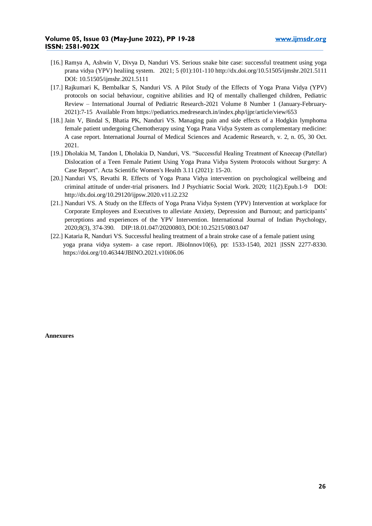- [16.] Ramya A, Ashwin V, Divya D, Nanduri VS. Serious snake bite case: successful treatment using yoga prana vidya (YPV) healiing system. 2021; 5 (01):101-110 http://dx.doi.org/10.51505/ijmshr.2021.5111 DOI: 10.51505/ijmshr.2021.5111
- [17.] Rajkumari K, Bembalkar S, Nanduri VS. A Pilot Study of the Effects of Yoga Prana Vidya (YPV) protocols on social behaviour, cognitive abilities and IQ of mentally challenged children, Pediatric Review – International Journal of Pediatric Research-2021 Volume 8 Number 1 (January-February-2021):7-15 Available From https://pediatrics.medresearch.in/index.php/ijpr/article/view/653
- [18.] Jain V, Bindal S, Bhatia PK, Nanduri VS. Managing pain and side effects of a Hodgkin lymphoma female patient undergoing Chemotherapy using Yoga Prana Vidya System as complementary medicine: A case report. International Journal of Medical Sciences and Academic Research, v. 2, n. 05, 30 Oct. 2021.
- [19.] Dholakia M, Tandon I, Dholakia D, Nanduri, VS. "Successful Healing Treatment of Kneecap (Patellar) Dislocation of a Teen Female Patient Using Yoga Prana Vidya System Protocols without Surgery: A Case Report". Acta Scientific Women's Health 3.11 (2021): 15-20.
- [20.] Nanduri VS, Revathi R. Effects of Yoga Prana Vidya intervention on psychological wellbeing and criminal attitude of under-trial prisoners. Ind J Psychiatric Social Work. 2020; 11(2).Epub.1-9 DOI: http://dx.doi.org/10.29120/ijpsw.2020.v11.i2.232
- [21.] Nanduri VS. A Study on the Effects of Yoga Prana Vidya System (YPV) Intervention at workplace for Corporate Employees and Executives to alleviate Anxiety, Depression and Burnout; and participants' perceptions and experiences of the YPV Intervention. International Journal of Indian Psychology, 2020;8(3), 374-390. DIP:18.01.047/20200803, DOI:10.25215/0803.047
- [22.] Kataria R, Nanduri VS. Successful healing treatment of a brain stroke case of a female patient using yoga prana vidya system- a case report. JBioInnov10(6), pp: 1533-1540, 2021 |ISSN 2277-8330. https://doi.org/10.46344/JBINO.2021.v10i06.06

**Annexures**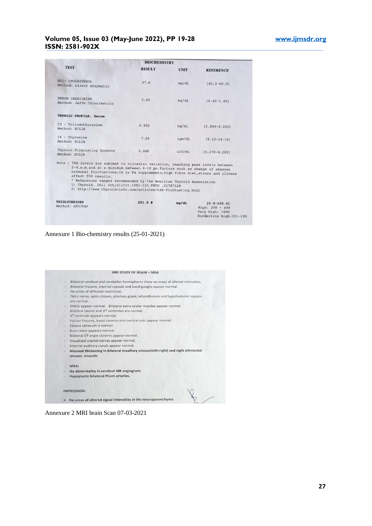# **Volume 05, Issue 03 (May-June 2022), PP 19-28 www.ijmsdr.org ISSN: 2581-902X**

|                                                                                                           | <b>BIOCHEMISTRY</b>                                                                                                                                                                                                                                                                                                                                             |             |                    |  |
|-----------------------------------------------------------------------------------------------------------|-----------------------------------------------------------------------------------------------------------------------------------------------------------------------------------------------------------------------------------------------------------------------------------------------------------------------------------------------------------------|-------------|--------------------|--|
| <b>TEST</b>                                                                                               | <b>RESULT</b>                                                                                                                                                                                                                                                                                                                                                   | <b>UNIT</b> | <b>REFERENCE</b>   |  |
| HDL- CHOLESTEROL<br>Method: Direct Enzymatic                                                              | 47.6                                                                                                                                                                                                                                                                                                                                                            | mq/d1       | $[40.0 - 60.0]$    |  |
| <b>SERUM CREATININE</b><br>Method: Jaffe Colorimetric                                                     | 0.60                                                                                                                                                                                                                                                                                                                                                            | mg/d1       | $[0.40 - 1.401]$   |  |
| THYROID PROFILE, Serum                                                                                    |                                                                                                                                                                                                                                                                                                                                                                 |             |                    |  |
| T3 - Triiodothyronine<br>Method: ECLIA                                                                    | 0.920                                                                                                                                                                                                                                                                                                                                                           | nq/d1       | $[0.800 - 2.000]$  |  |
| $T4 - Thyroxine$<br>Method: ECLIA                                                                         | 7.25                                                                                                                                                                                                                                                                                                                                                            | $u$ qm/dl   | $[5.10 - 14.10]$   |  |
| Thyroid Stimulating Hormone<br>Method: ECLIA                                                              | 2.060                                                                                                                                                                                                                                                                                                                                                           | uIU/m1      | $[0.270 - 4.2001]$ |  |
| Note : TSH levels are subject to circadian variation, reaching peak levels between<br>affect TSH results. | 2-4.a.m.and at a minimum between 6-10 pm. Factors such as change of seasons<br>hormonal fluctuations, Ca or Fe supplements, high fibre diet, stress and illness<br>* References ranges recommended by the American Thyroid Association<br>1) Thyroid. 2011 Oct; 21(10):1081-125. PMID .21787128<br>2) http://www.thyroid-info.com/articles/tsh-fluctuating.html |             |                    |  |
|                                                                                                           |                                                                                                                                                                                                                                                                                                                                                                 |             |                    |  |

Annexure 1 Bio-chemistry results (25-01-2021)



Annexure 2 MRI brain Scan 07-03-2021